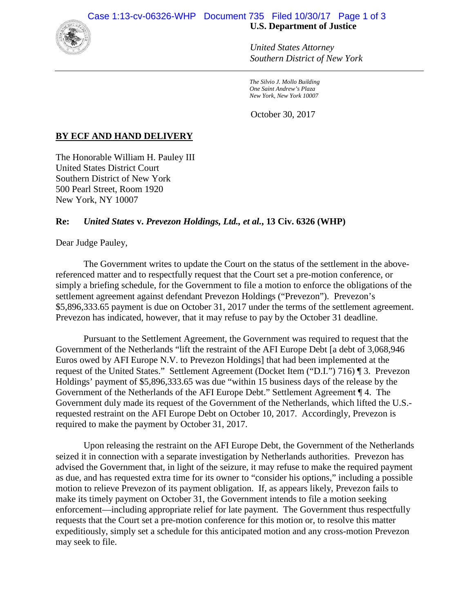

*United States Attorney Southern District of New York*

*The Silvio J. Mollo Building One Saint Andrew's Plaza New York, New York 10007*

October 30, 2017

## **BY ECF AND HAND DELIVERY**

The Honorable William H. Pauley III United States District Court Southern District of New York 500 Pearl Street, Room 1920 New York, NY 10007

## **Re:** *United States* **v.** *Prevezon Holdings, Ltd., et al.***, 13 Civ. 6326 (WHP)**

Dear Judge Pauley,

The Government writes to update the Court on the status of the settlement in the abovereferenced matter and to respectfully request that the Court set a pre-motion conference, or simply a briefing schedule, for the Government to file a motion to enforce the obligations of the settlement agreement against defendant Prevezon Holdings ("Prevezon"). Prevezon's \$5,896,333.65 payment is due on October 31, 2017 under the terms of the settlement agreement. Prevezon has indicated, however, that it may refuse to pay by the October 31 deadline.

Pursuant to the Settlement Agreement, the Government was required to request that the Government of the Netherlands "lift the restraint of the AFI Europe Debt [a debt of 3,068,946 Euros owed by AFI Europe N.V. to Prevezon Holdings] that had been implemented at the request of the United States." Settlement Agreement (Docket Item ("D.I.") 716) ¶ 3. Prevezon Holdings' payment of \$5,896,333.65 was due "within 15 business days of the release by the Government of the Netherlands of the AFI Europe Debt." Settlement Agreement ¶ 4. The Government duly made its request of the Government of the Netherlands, which lifted the U.S. requested restraint on the AFI Europe Debt on October 10, 2017. Accordingly, Prevezon is required to make the payment by October 31, 2017.

Upon releasing the restraint on the AFI Europe Debt, the Government of the Netherlands seized it in connection with a separate investigation by Netherlands authorities. Prevezon has advised the Government that, in light of the seizure, it may refuse to make the required payment as due, and has requested extra time for its owner to "consider his options," including a possible motion to relieve Prevezon of its payment obligation. If, as appears likely, Prevezon fails to make its timely payment on October 31, the Government intends to file a motion seeking enforcement—including appropriate relief for late payment. The Government thus respectfully requests that the Court set a pre-motion conference for this motion or, to resolve this matter expeditiously, simply set a schedule for this anticipated motion and any cross-motion Prevezon may seek to file.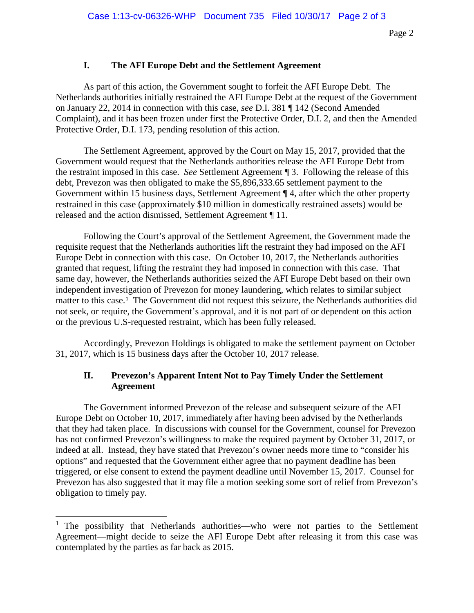## **I. The AFI Europe Debt and the Settlement Agreement**

As part of this action, the Government sought to forfeit the AFI Europe Debt. The Netherlands authorities initially restrained the AFI Europe Debt at the request of the Government on January 22, 2014 in connection with this case, *see* D.I. 381 ¶ 142 (Second Amended Complaint), and it has been frozen under first the Protective Order, D.I. 2, and then the Amended Protective Order, D.I. 173, pending resolution of this action.

The Settlement Agreement, approved by the Court on May 15, 2017, provided that the Government would request that the Netherlands authorities release the AFI Europe Debt from the restraint imposed in this case. *See* Settlement Agreement ¶ 3. Following the release of this debt, Prevezon was then obligated to make the \$5,896,333.65 settlement payment to the Government within 15 business days, Settlement Agreement ¶ 4, after which the other property restrained in this case (approximately \$10 million in domestically restrained assets) would be released and the action dismissed, Settlement Agreement ¶ 11.

Following the Court's approval of the Settlement Agreement, the Government made the requisite request that the Netherlands authorities lift the restraint they had imposed on the AFI Europe Debt in connection with this case. On October 10, 2017, the Netherlands authorities granted that request, lifting the restraint they had imposed in connection with this case. That same day, however, the Netherlands authorities seized the AFI Europe Debt based on their own independent investigation of Prevezon for money laundering, which relates to similar subject matter to this case.<sup>[1](#page-1-0)</sup> The Government did not request this seizure, the Netherlands authorities did not seek, or require, the Government's approval, and it is not part of or dependent on this action or the previous U.S-requested restraint, which has been fully released.

Accordingly, Prevezon Holdings is obligated to make the settlement payment on October 31, 2017, which is 15 business days after the October 10, 2017 release.

## **II. Prevezon's Apparent Intent Not to Pay Timely Under the Settlement Agreement**

The Government informed Prevezon of the release and subsequent seizure of the AFI Europe Debt on October 10, 2017, immediately after having been advised by the Netherlands that they had taken place. In discussions with counsel for the Government, counsel for Prevezon has not confirmed Prevezon's willingness to make the required payment by October 31, 2017, or indeed at all. Instead, they have stated that Prevezon's owner needs more time to "consider his options" and requested that the Government either agree that no payment deadline has been triggered, or else consent to extend the payment deadline until November 15, 2017. Counsel for Prevezon has also suggested that it may file a motion seeking some sort of relief from Prevezon's obligation to timely pay.

<span id="page-1-0"></span><sup>&</sup>lt;sup>1</sup> The possibility that Netherlands authorities—who were not parties to the Settlement Agreement—might decide to seize the AFI Europe Debt after releasing it from this case was contemplated by the parties as far back as 2015.